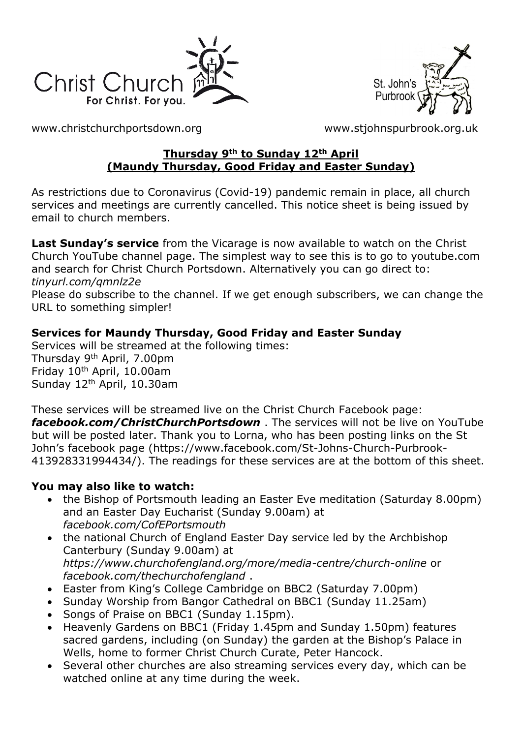



[www.christchurchportsdown.org](http://www.christchurchportsdown.org/) [www.stjohnspurbrook.org.uk](http://www.stjohnspurbrook.org.uk/)

## **Thursday 9th to Sunday 12th April (Maundy Thursday, Good Friday and Easter Sunday)**

As restrictions due to Coronavirus (Covid-19) pandemic remain in place, all church services and meetings are currently cancelled. This notice sheet is being issued by email to church members.

**Last Sunday's service** from the Vicarage is now available to watch on the Christ Church YouTube channel page. The simplest way to see this is to go to youtube.com and search for Christ Church Portsdown. Alternatively you can go direct to: *tinyurl.com/qmnlz2e*

Please do subscribe to the channel. If we get enough subscribers, we can change the URL to something simpler!

# **Services for Maundy Thursday, Good Friday and Easter Sunday**

Services will be streamed at the following times: Thursday 9<sup>th</sup> April, 7.00pm Friday 10<sup>th</sup> April, 10.00am Sunday 12<sup>th</sup> April, 10.30am

These services will be streamed live on the Christ Church Facebook page: *[facebook.com/ChristChurchPortsdown](http://www.facebook.com/ChristChurchPortsdown%20at%2010.30)* . The services will not be live on YouTube but will be posted later. Thank you to Lorna, who has been posting links on the St John's facebook page [\(https://www.facebook.com/St-Johns-Church-Purbrook-](https://www.facebook.com/St-Johns-Church-Purbrook-413928331994434/)[413928331994434/\)](https://www.facebook.com/St-Johns-Church-Purbrook-413928331994434/). The readings for these services are at the bottom of this sheet.

# **You may also like to watch:**

- the Bishop of Portsmouth leading an Easter Eve meditation (Saturday 8.00pm) and an Easter Day Eucharist (Sunday 9.00am) at *[facebook.com/CofEPortsmouth](https://www.facebook.com/CofEPortsmouth)*
- the national Church of England Easter Day service led by the Archbishop Canterbury (Sunday 9.00am) at *<https://www.churchofengland.org/more/media-centre/church-online>* or *facebook.com/thechurchofengland* .
- Easter from King's College Cambridge on BBC2 (Saturday 7.00pm)
- Sunday Worship from Bangor Cathedral on BBC1 (Sunday 11.25am)
- Songs of Praise on BBC1 (Sunday 1.15pm).
- Heavenly Gardens on BBC1 (Friday 1.45pm and Sunday 1.50pm) features sacred gardens, including (on Sunday) the garden at the Bishop's Palace in Wells, home to former Christ Church Curate, Peter Hancock.
- Several other churches are also streaming services every day, which can be watched online at any time during the week.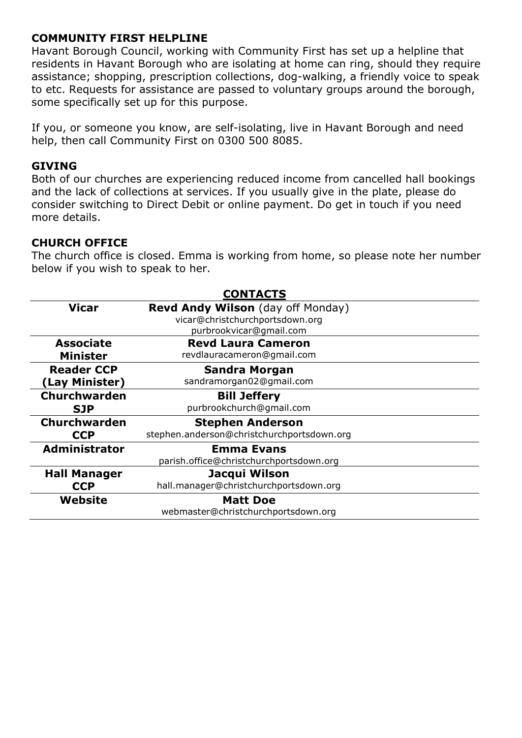### **COMMUNITY FIRST HELPLINE**

Havant Borough Council, working with Community First has set up a helpline that residents in Havant Borough who are isolating at home can ring, should they require assistance; shopping, prescription collections, dog-walking, a friendly voice to speak to etc. Requests for assistance are passed to voluntary groups around the borough, some specifically set up for this purpose.

If you, or someone you know, are self-isolating, live in Havant Borough and need help, then call Community First on 0300 500 8085.

#### **GIVING**

Both of our churches are experiencing reduced income from cancelled hall bookings and the lack of collections at services. If you usually give in the plate, please do consider switching to Direct Debit or online payment. Do get in touch if you need more details.

### **CHURCH OFFICE**

The church office is closed. Emma is working from home, so please note her number below if you wish to speak to her.

|                      | <b>CONTACTS</b>                                                      |
|----------------------|----------------------------------------------------------------------|
| <b>Vicar</b>         | Revd Andy Wilson (day off Monday)<br>vicar@christchurchportsdown.org |
|                      | purbrookvicar@gmail.com                                              |
| <b>Associate</b>     | <b>Revd Laura Cameron</b>                                            |
| <b>Minister</b>      | revdlauracameron@gmail.com                                           |
| <b>Reader CCP</b>    | <b>Sandra Morgan</b>                                                 |
| (Lay Minister)       | sandramorgan02@gmail.com                                             |
| <b>Churchwarden</b>  | <b>Bill Jeffery</b>                                                  |
| <b>SJP</b>           | purbrookchurch@gmail.com                                             |
| <b>Churchwarden</b>  | <b>Stephen Anderson</b>                                              |
| <b>CCP</b>           | stephen.anderson@christchurchportsdown.org                           |
| <b>Administrator</b> | <b>Emma Evans</b>                                                    |
|                      | parish.office@christchurchportsdown.org                              |
| <b>Hall Manager</b>  | Jacqui Wilson                                                        |
| <b>CCP</b>           | hall.manager@christchurchportsdown.org                               |
| Website              | <b>Matt Doe</b>                                                      |
|                      | webmaster@christchurchportsdown.org                                  |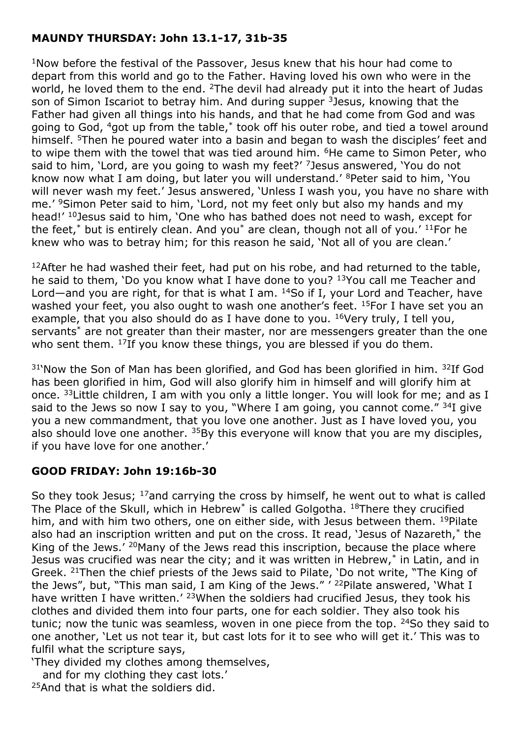### **MAUNDY THURSDAY: John 13.1-17, 31b-35**

<sup>1</sup>Now before the festival of the Passover, Jesus knew that his hour had come to depart from this world and go to the Father. Having loved his own who were in the world, he loved them to the end. <sup>2</sup>The devil had already put it into the heart of Judas son of Simon Iscariot to betray him. And during supper <sup>3</sup>Jesus, knowing that the Father had given all things into his hands, and that he had come from God and was going to God, <sup>4</sup>got up from the table,<sup>[\\*](javascript:void(0);)</sup> took off his outer robe, and tied a towel around himself. <sup>5</sup>Then he poured water into a basin and began to wash the disciples' feet and to wipe them with the towel that was tied around him. <sup>6</sup>He came to Simon Peter, who said to him, 'Lord, are you going to wash my feet?' <sup>7</sup>Jesus answered, 'You do not know now what I am doing, but later you will understand.' <sup>8</sup>Peter said to him, 'You will never wash my feet.' Jesus answered, 'Unless I wash you, you have no share with me.' <sup>9</sup>Simon Peter said to him, 'Lord, not my feet only but also my hands and my head!' <sup>10</sup>Jesus said to him, 'One who has bathed does not need to wash, except for the feet,[\\*](javascript:void(0);) but is entirely clean. And you\* are clean, though not all of you.'  $11$  For he knew who was to betray him; for this reason he said, 'Not all of you are clean.'

 $12$ After he had washed their feet, had put on his robe, and had returned to the table, he said to them, 'Do you know what I have done to you? <sup>13</sup>You call me Teacher and Lord—and you are right, for that is what I am.  $^{14}$ So if I, your Lord and Teacher, have washed your feet, you also ought to wash one another's feet. <sup>15</sup>For I have set you an example, that you also should do as I have done to you.  $16V$ ery truly, I tell you, servants<sup>[\\*](javascript:void(0);)</sup> are not greater than their master, nor are messengers greater than the one who sent them. <sup>17</sup>If you know these things, you are blessed if you do them.

 $31$ <sup>Now</sup> the Son of Man has been glorified, and God has been glorified in him.  $32$ If God has been glorified in him, God will also glorify him in himself and will glorify him at once. <sup>33</sup>Little children, I am with you only a little longer. You will look for me; and as I said to the Jews so now I say to you, "Where I am going, you cannot come."  $34I$  give you a new commandment, that you love one another. Just as I have loved you, you also should love one another.  $35$ By this everyone will know that you are my disciples, if you have love for one another.'

## **GOOD FRIDAY: John 19:16b-30**

So they took Jesus;  $17$  and carrying the cross by himself, he went out to what is called The Place of the Skull, which in Hebrew<sup>[\\*](javascript:void(0);)</sup> is called Golgotha. <sup>18</sup>There they crucified him, and with him two others, one on either side, with Jesus between them. <sup>19</sup>Pilate also had an inscription written and put on the cross. It read, 'Jesus of Nazareth,[\\*](javascript:void(0);) the King of the Jews.' <sup>20</sup>Many of the Jews read this inscription, because the place where Jesus was crucified was near the city; and it was written in Hebrew,[\\*](javascript:void(0);) in Latin, and in Greek. <sup>21</sup>Then the chief priests of the Jews said to Pilate, 'Do not write, "The King of the Jews", but, "This man said, I am King of the Jews." <sup>'22</sup>Pilate answered, 'What I have written I have written.<sup>' 23</sup>When the soldiers had crucified Jesus, they took his clothes and divided them into four parts, one for each soldier. They also took his tunic; now the tunic was seamless, woven in one piece from the top. <sup>24</sup>So they said to one another, 'Let us not tear it, but cast lots for it to see who will get it.' This was to fulfil what the scripture says,

'They divided my clothes among themselves,

and for my clothing they cast lots.'

<sup>25</sup>And that is what the soldiers did.